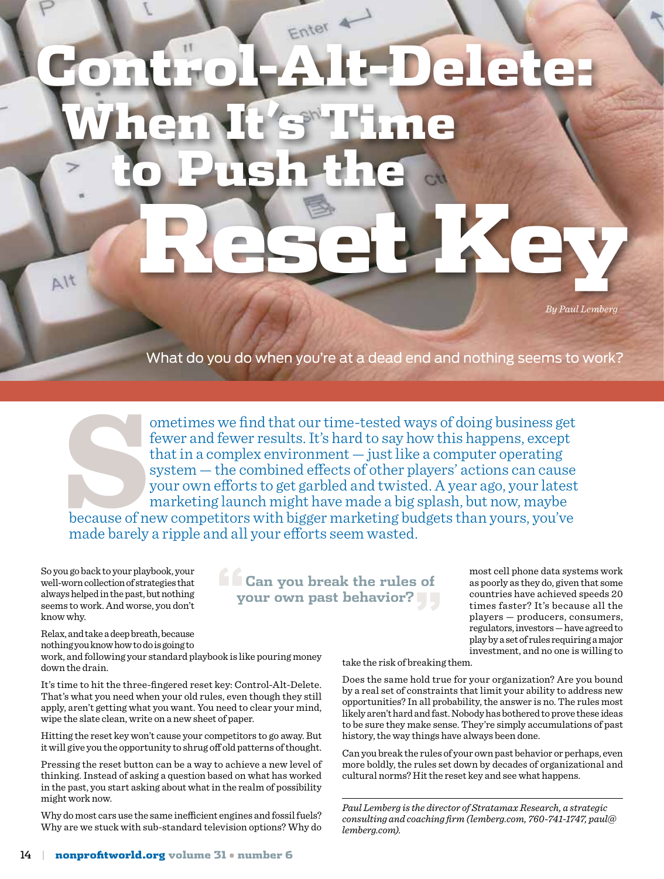## Control-Alt-Delete: When It's Time to Push the Reset Key  $\Delta l$ t

*By Paul Lemberg*

What do you do when you're at a dead end and nothing seems to work?

ometimes we find that our time-tested ways of doing business get<br>fewer and fewer results. It's hard to say how this happens, except<br>that in a complex environment — just like a computer operating<br>system — the combined effec fewer and fewer results. It's hard to say how this happens, except that in a complex environment — just like a computer operating system — the combined effects of other players' actions can cause your own efforts to get garbled and twisted. A year ago, your latest marketing launch might have made a big splash, but now, maybe because of new competitors with bigger marketing budgets than yours, you've made barely a ripple and all your efforts seem wasted.

So you go back to your playbook, your well-worn collection of strategies that always helped in the past, but nothing seems to work. And worse, you don't know why.

**"Can you break the rules of your own past behavior?"** most cell phone data systems work as poorly as they do, given that some countries have achieved speeds 20 times faster? It's because all the players — producers, consumers, regulators, investors — have agreed to play by a set of rules requiring a major investment, and no one is willing to

Relax, and take a deep breath, because nothing you know how to do is going to work, and following your standard playbook is like pouring money down the drain.

It's time to hit the three-fingered reset key: Control-Alt-Delete. That's what you need when your old rules, even though they still apply, aren't getting what you want. You need to clear your mind, wipe the slate clean, write on a new sheet of paper.

Hitting the reset key won't cause your competitors to go away. But it will give you the opportunity to shrug off old patterns of thought.

Pressing the reset button can be a way to achieve a new level of thinking. Instead of asking a question based on what has worked in the past, you start asking about what in the realm of possibility might work now.

Why do most cars use the same inefficient engines and fossil fuels? Why are we stuck with sub-standard television options? Why do take the risk of breaking them.

Does the same hold true for your organization? Are you bound by a real set of constraints that limit your ability to address new opportunities? In all probability, the answer is no. The rules most likely aren't hard and fast. Nobody has bothered to prove these ideas to be sure they make sense. They're simply accumulations of past history, the way things have always been done.

Can you break the rules of your own past behavior or perhaps, even more boldly, the rules set down by decades of organizational and cultural norms? Hit the reset key and see what happens.

*Paul Lemberg is the director of Stratamax Research, a strategic consulting and coaching firm (lemberg.com, 760-741-1747, paul@ lemberg.com).*